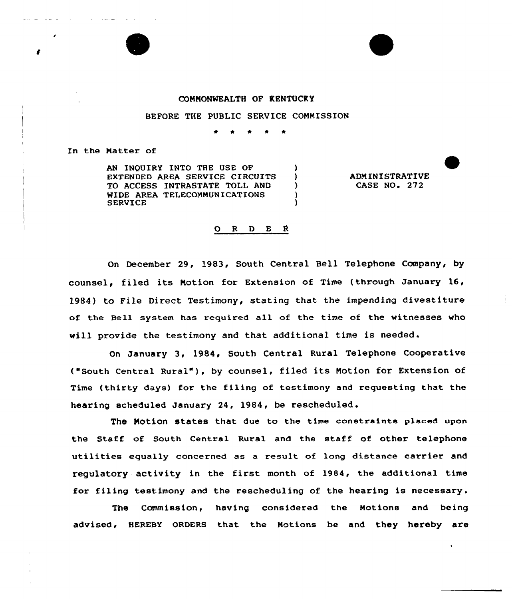



## CONNONMEALTH OF KENTUCKY

## BEFORE THE PUBLIC SERVICE CONNISSION

 $\lambda$ Δ.  $\mathcal{F}$  $\lambda$ 

In the Natter of

AN INQUIRY INTO THE USE OF EXTENDED AREA SERVICE CIRCUITS TO ACCESS INTRASTATE TOLL AND WIDE AREA TELECONNUNICATIONS SERVICE

ADMINISTRATIVE **CASE NO. 272** 

## ORDER

On December 29, '983, South Central Bell Telephone Company, by counsel, filed its Notion for Extension of Time (through January 16, 1984) to File Direct Testimony, stating that the impending divestiture of the Bell system has required all of the time of the witnesses who will provide the testimony and that additional time is needed.

On January 3, 1984, South Central Rural Telephone Cooperative ("South Cent~al Rural" ), by counsel, filed its Notion for Extension of Time (thirty days) for the filing of testimony and requesting that the hearing scheduled January 24, 1984, be rescheduled.

The Notion states that due to the time constraints placed upon the Staff of South Central Rural and the staff of other telephone utilities equally concerned as a result of long distance carrier and regulatory activity in the first month of 1984, the additional time for filing testimony and the rescheduling of the hearing is necessary.

The Commission, having considered the Notions and being advised, HEREBY ORDERS that the Notions be and they hereby are